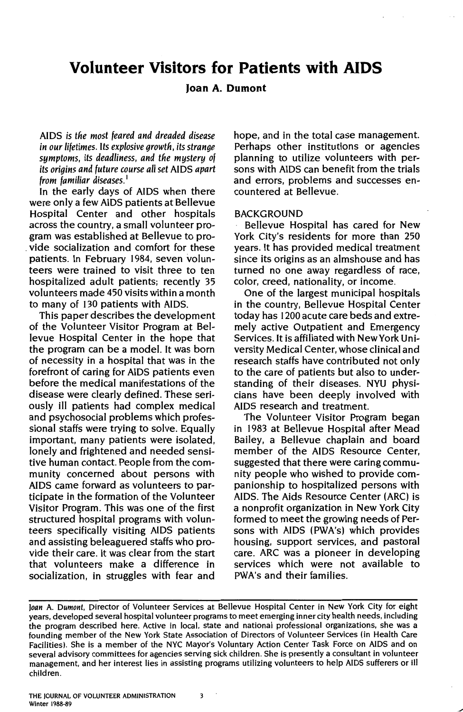# **Volunteer Visitors for Patients with AIDS**

## **Joan A. Dumont**

AIDS *is tfie most feared and dreaded disease in our lifetimes.* Its *explosive growth, its strange symptoms, its deadliness, and tfie mystery of its origins and future course all set* AIDS *apart from familiar diseases.* <sup>1</sup>

In the early days of AIDS when there were only a few AIDS patients at Bellevue Hospital Center and other hospitals across the country, a small volunteer program was established at Bellevue to pro- . vide socialization and comfort for these patients. In February 1984, seven volunteers were trained to visit three to ten hospitalized adult patients; recently 35 volunteers made 450 visits within a month to many of 130 patients with AIDS.

This paper describes the development of the Volunteer Visitor Program at Bellevue Hospital Center in the hope that the program can be a model. It was born of necessity in a hospital that was in the forefront of caring for AIDS patients even before the medical manifestations of the disease were clearly defined. These seriously ill patients had complex medical and psychosocial problems which professional staffs were trying to solve. Equally important, many patients were isolated, lonely and frightened and needed sensitive human contact. People from the community concerned about persons with AIDS came forward as volunteers to participate in the formation of the Volunteer Visitor Program. This was one of the first structured hospital programs with volunteers specifically visiting AIDS patients and assisting beleaguered staffs who provide their care. It was clear from the start that volunteers make a difference in socialization, in struggles with fear and hope, and in the total case management. Perhaps other institutions or agencies planning to utilize volunteers with persons with AIDS can benefit from the trials and errors, problems and successes encountered at Bellevue.

#### **BACKGROUND**

Bellevue Hospital has cared for New York City's residents for more than 250 years. It has provided medical treatment since its origins as an almshouse and has turned no one away regardless of race, color, creed, nationality, or income.

One of the largest municipal hospitals in the country, Bellevue Hospital Center today has 1200 acute care beds and extremely active Outpatient and Emergency Services. It is affiliated with New York University Medical Center, whose clinical and research staffs have contributed not only to the care of patients but also to understanding of their diseases. NYU physicians have been deeply involved with AIDS research and treatment.

The Volunteer Visitor Program began in 1983 at Bellevue Hospital after Mead Bailey, a Bellevue chaplain and board member of the AIDS Resource Center, suggested that there were caring community people who wished to provide companionship to hospitalized persons with AIDS. The Aids Resource Center (ARC) is a nonprofit organization in New York City formed to meet the growing needs of Persons with AIDS (PWA's) which provides housing, support services, and pastoral care. ARC was a pioneer in developing services which were not available to PWA's and their families.

*Joan* A. *Dumont,* Director of Volunteer Services at Bellevue Hospital Center in New York City for eight years, developed several hospital volunteer programs to meet emerging inner city health needs, including the program described here. Active in local, state and national professional organizations, she was a founding member of the New York State Association of Directors of Volunteer Services (in Health care Facilities). She is a member of the NYC Mayor's Voluntary Action Center Task Force on AIDS and on several advisory committees for agencies serving sick children. She is presently a consultant in volunteer management, and her interest lies in assisting programs utilizing volunteers to help AIDS sufferers or ill children.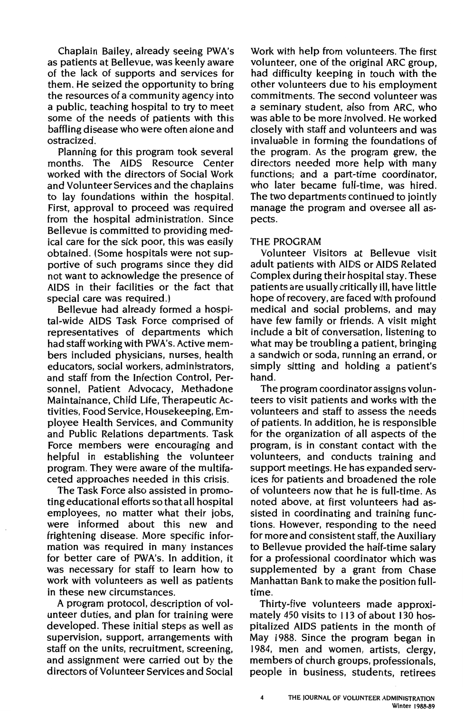Chaplain Bailey, already seeing PWA's as patients at Bellevue, was keenly aware of the lack of supports and services for them. He seized the opportunity to bring the resources of a community agency into a public, teaching hospital to try to meet some of the needs of patients with this baffling disease who were often alone and ostracized.

Planning for this program took several months. The AIDS Resource Center worked with the directors of Social Work and Volunteer Services and the chaplains to lay foundations within the hospital. First, approval to proceed was required from the hospital administration. Since Bellevue is committed to providing medical care for the sick poor, this was easily obtained. (Some hospitals were not supportive of such programs since they did not want to acknowledge the presence of AIDS in their facilities or the fact that special care was required.)

Bellevue had already formed a hospital-wide AIDS Task Force comprised of representatives of departments which had staff working with PWA's. Active members included physicians, nurses, health educators, social workers, administrators, and staff from the Infection Control, Personnel, Patient Advocacy, Methadone Maintainance, Child Life, Therapeutic Activities, Food Service, Housekeeping, Employee Health Services, and Community and Public Relations departments. Task Force members were encouraging and helpful in establishing the volunteer program. They were aware of the multifaceted approaches needed in this crisis.

The Task Force also assisted in promoting educational efforts so that all hospital employees, no matter what their jobs, were informed about this new and frightening disease. More specific information was required in many instances for better care of PWA's. In addition, it was necessary for staff to learn how to work with volunteers as well as patients in these new circumstances.

A program protocol, description of volunteer duties, and plan for training were developed. These initial steps as well as supervision, support, arrangements with staff on the units, recruitment, screening, and assignment were carried out by the directors of Volunteer Services and Social Work with help from volunteers. The first volunteer, one of the original ARC group, had difficulty keeping in touch with the other volunteers due to his employment commitments. The second volunteer was a seminary student, also from ARC, who was able to be more involved. He worked closely with staff and volunteers and was invaluable in forming the foundations of the program. As the program grew, the directors needed more help with many functions; and a part-time coordinator, who later became full-time, was hired. The two departments continued to jointly manage the program and oversee all aspects.

### THE PROGRAM

Volunteer Visitors at Bellevue visit adult patients with AIDS or AIDS Related Complex during their hospital stay. These patients are usually critically ill, have little hope of recovery, are faced with profound medical and social problems, and may have few family or friends. A visit might include a bit of conversation, listening to what may be troubling a patient, bringing a sandwich or soda, running an errand, or simply sitting and holding a patient's hand.

The program coordinator assigns volunteers to visit patients and works with the volunteers and staff to assess the needs of patients. In addition, he is responsible for the organization of all aspects of the program, is in constant contact with the volunteers, and conducts training and support meetings. He has expanded services for patients and broadened the role of volunteers now that he is full-time. As noted above, at first volunteers had assisted in coordinating and training functions. However, responding to the need for more and consistent staff, the Auxiliary to Bellevue provided the half-time salary for a professional coordinator which was supplemented by a grant from Chase Manhattan Bank to make the position fulltime.

Thirty-five volunteers made approximately 450 visits to 113 of about 130 hospitalized AIDS patients in the month of May 1988. Since the program began in 1984, men and women, artists, clergy, members of church groups, professionals, people in business, students, retirees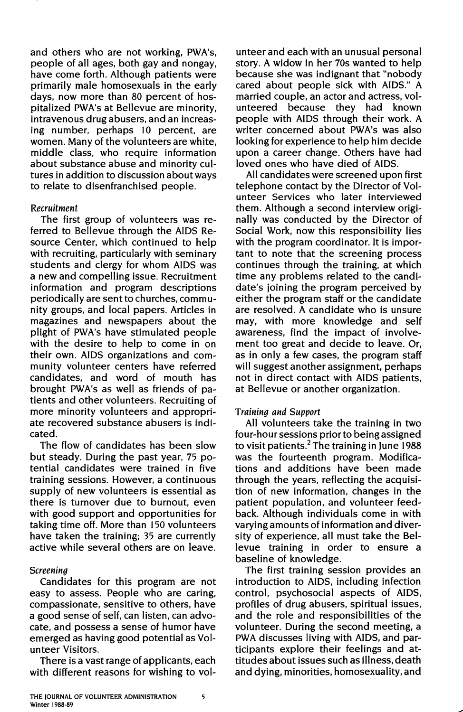and others who are not working, PWA's, people of all ages, both gay and nongay, have come forth. Although patients were primarily male homosexuals in the early days, now more than 80 percent of hospitalized PWA's at Bellevue are minority, intravenous drug abusers, and an increasing number, perhaps IO percent, are women. Many of the volunteers are white, middle class, who require information about substance abuse and minority cultures in addition to discussion about ways to relate to disenfranchised people.

#### Recruitment

The first group of volunteers was referred to Bellevue through the AIDS Resource Center, which continued to help with recruiting, particularly with seminary students and clergy for whom AIDS was a new and compelling issue. Recruitment information and program descriptions periodically are sent to churches, community groups, and local papers. Articles in magazines and newspapers about the plight of PWA's have stimulated people with the desire to help to come in on their own. AIDS organizations and community volunteer centers have referred candidates, and word of mouth has brought PWA's as well as friends of patients and other volunteers. Recruiting of more minority volunteers and appropriate recovered substance abusers is indicated.

The flow of candidates has been slow but steady. During the past year, 75 potential candidates were trained in five training sessions. However, a continuous supply of new volunteers is essential as there is turnover due to burnout, even with good support and opportunities for taking time off. More than 150 volunteers have taken the training; 35 are currently active while several others are on leave.

#### Screening

Candidates for this program are not easy to assess. People who are caring, compassionate, sensitive to others, have a good sense of self, can listen, can advocate, and possess a sense of humor have emerged as having good potential as Volunteer Visitors.

There is a vast range of applicants, each with different reasons for wishing to vol-

unteer and each with an unusual personal story. A widow in her 70s wanted to help because she was indignant that "nobody cared about people sick with AIDS." A married couple, an actor and actress, volunteered because they had known people with AIDS through their work. A writer concerned about PWA's was also looking for experience to help him decide upon a career change. Others have had loved ones who have died of AIDS.

All candidates were screened upon first telephone contact by the Director of Volunteer Services who later interviewed them. Although a second interview originally was conducted by the Director of Social Work, now this responsibility lies with the program coordinator. It is important to note that the screening process continues through the training, at which time any problems related to the candidate's joining the program perceived by either the program staff or the candidate are resolved. A candidate who is unsure may, with more knowledge and self awareness, find the impact of involvement too great and decide to leave. Or, as in only a few cases, the program staff will suggest another assignment, perhaps not in direct contact with AIDS patients, at Bellevue or another organization.

#### Training and Support

All volunteers take the training in two four-hour sessions prior to being assigned to visit patients.<sup>2</sup> The training in June 1988 was the fourteenth program. Modifications and additions have been made through the years, reflecting the acquisition of new information, changes in the patient population, and volunteer feedback. Although individuals come in with varying amounts of information and diversity of experience, all must take the Bellevue training in order to ensure a baseline of knowledge.

The first training session provides an introduction to AIDS, including infection control, psychosocial aspects of AIDS, profiles of drug abusers, spiritual issues, and the role and responsibilities of the volunteer. During the second meeting, a PWA discusses living with AIDS, and participants explore their feelings and attitudes about issues such as illness, death and dying, minorities, homosexuality, and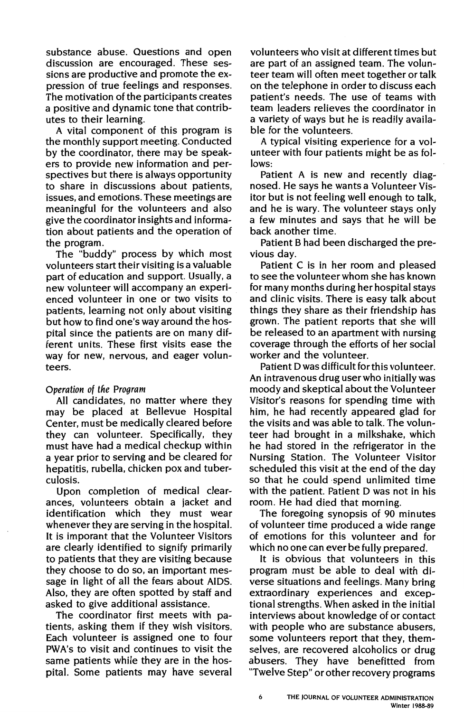substance abuse. Questions and open discussion are encouraged. These sessions are productive and promote the expression of true feelings and responses. The motivation of the participants creates a positive and dynamic tone that contributes to their learning.

A vital component of this program is the monthly support meeting. Conducted by the coordinator, there may be speakers to provide new information and perspectives but there is always opportunity to share in discussions about patients, issues, and emotions. These meetings are meaningful for the volunteers and also **give** the coordinator insights and information about patients and the operation of the program.

The "buddy" process by which most volunteers start their visiting is a valuable part of education and support. Usually, a new volunteer will accompany an experienced volunteer in one or two visits to patients, learning not only about visiting but how to find one's way around the hospital since the patients are on many different units. These first visits ease the way for new, nervous, and eager volunteers.

### Operation of the Program

All candidates, no matter where they may be placed at Bellevue Hospital Center, must be medically cleared before they can volunteer. Specifically, they must have had a medical checkup within a year prior to serving and be cleared for hepatitis, rubella, chicken pox and tuberculosis.

Upon completion of medical clearances, volunteers obtain a jacket and identification which they must wear whenever they are serving in the hospital. It is imporant that the Volunteer Visitors are clearly identified to signify primarily to patients that they are visiting because they choose to do so, an important message in light of all the fears about AIDS. Also, they are often spotted by staff and asked to give additional assistance.

The coordinator first meets with patients, asking them if they wish visitors. Each volunteer is assigned one to four PWA's to visit and continues to visit the same patients while they are in the hospital. Some patients may have several volunteers who visit at different times but are part of an assigned team. The volunteer team will often meet together or talk on the telephone in order to discuss each patient's needs. The use of teams with team leaders relieves the coordinator in a variety of ways but he is readily available for the volunteers.

A typical visiting experience for a volunteer with four patients might be as follows:

Patient A is new and recently diagnosed. He says he wants a Volunteer Visitor but is not feeling well enough to talk, and he is wary. The volunteer stays only a few minutes and says that he will be back another time.

Patient B had been discharged the previous day.

Patient C is in her room and pleased to see the volunteer whom she has known for many months during her hospital stays and clinic visits. There is easy talk about things they share as their friendship has grown. The patient reports that she will be released to an apartment with nursing coverage through the efforts of her social worker and the volunteer.

Patient D was difficult for this volunteer. An intravenous drug user who initially was moody and skeptical about the Volunteer Visitor's reasons for spending time with him, he had recently appeared glad for the visits and was able to talk. The volunteer had brought in a milkshake, which he had stored in the refrigerator in the Nursing Station. The Volunteer Visitor scheduled this visit at the end of the day so that he could spend unlimited time with the patient. Patient D was not in his room. He had died that morning.

The foregoing synopsis of 90 minutes of volunteer time produced a wide range of emotions for this volunteer and for which no one can ever be fully prepared.

It is obvious that volunteers in this program must be able to deal with diverse situations and feelings. Many bring extraordinary experiences and exceptional strengths. When asked in the initial interviews about knowledge of or contact with people who are substance abusers, some volunteers report that they, themselves, are recovered alcoholics or drug abusers. They have benefitted from "Twelve Step" or other recovery programs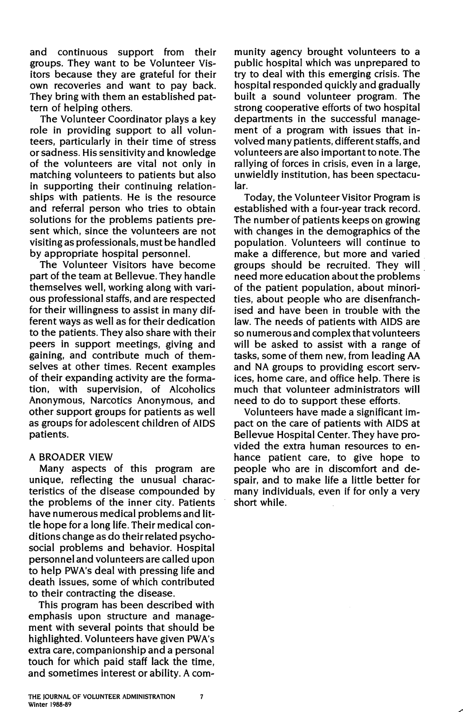and continuous support from their groups. They want to be Volunteer Visitors because they are grateful for their own recoveries and want to pay back. They bring with them an established pattern of helping others.

The Volunteer Coordinator plays a key role in providing support to all volunteers, particularly in their time of stress or sadness. His sensitivity and knowledge of the volunteers are vital not only in matching volunteers to patients but also in supporting their continuing relationships with patients. He is the resource and referral person who tries to obtain solutions for the problems patients present which, since the volunteers are not visiting as professionals, must be handled by appropriate hospital personnel.

The Volunteer Visitors have become part of the team at Bellevue. They handle themselves well, working along with various professional staffs, and are respected for their willingness to assist in many different ways as well as for their dedication to the patients. They also share with their peers in support meetings, giving and gaining, and contribute much of themselves at other times. Recent examples of their expanding activity are the formation, with supervision, of Alcoholics Anonymous, Narcotics Anonymous, and other support groups for patients as well as groups for adolescent children of AIDS patients.

### A BROADER VIEW

Many aspects of this program are unique, reflecting the unusual characteristics of the disease compounded by the problems of the inner city. Patients have numerous medical problems and little hope for a long life. Their medical conditions change as do their related psychosocial problems and behavior. Hospital personnel and volunteers are called upon to help PWA's deal with pressing life and death issues, some of which contributed to their contracting the disease.

This program has been described with emphasis upon structure and management with several points that should be highlighted. Volunteers have given PWA's extra care, companionship and a personal touch for which paid staff lack the time, and sometimes interest or ability. A com-

munity agency brought volunteers to a public hospital which was unprepared to try to deal with this emerging crisis. The hospital responded quickly and gradually built a sound volunteer program. The strong cooperative efforts of two hospital departments in the successful management of a program with issues that involved many patients, different staffs, and volunteers are also important to note. The rallying of forces in crisis, even in a large, unwieldly institution, has been spectacular.

Today, the Volunteer Visitor Program is established with a four-year track record. The number of patients keeps on growing with changes in the demographics of the population. Volunteers will continue to make a difference, but more and varied groups should be recruited. They will . need more education about the problems of the patient population, about minorities, about people who are disenfranchised and have been in trouble with the law. The needs of patients with AIDS are so numerous and complex that volunteers will be asked to assist with a range of tasks, some of them new, from leading AA and NA groups to providing escort services, home care, and office help. There is much that volunteer administrators will need to do to support these efforts.

Volunteers have made a significant impact on the care of patients with AIDS at Bellevue Hospital Center. They have provided the extra human resources to enhance patient care, to give hope to people who are in discomfort and despair, and to make life a little better for many individuals, even if for only a very short while.